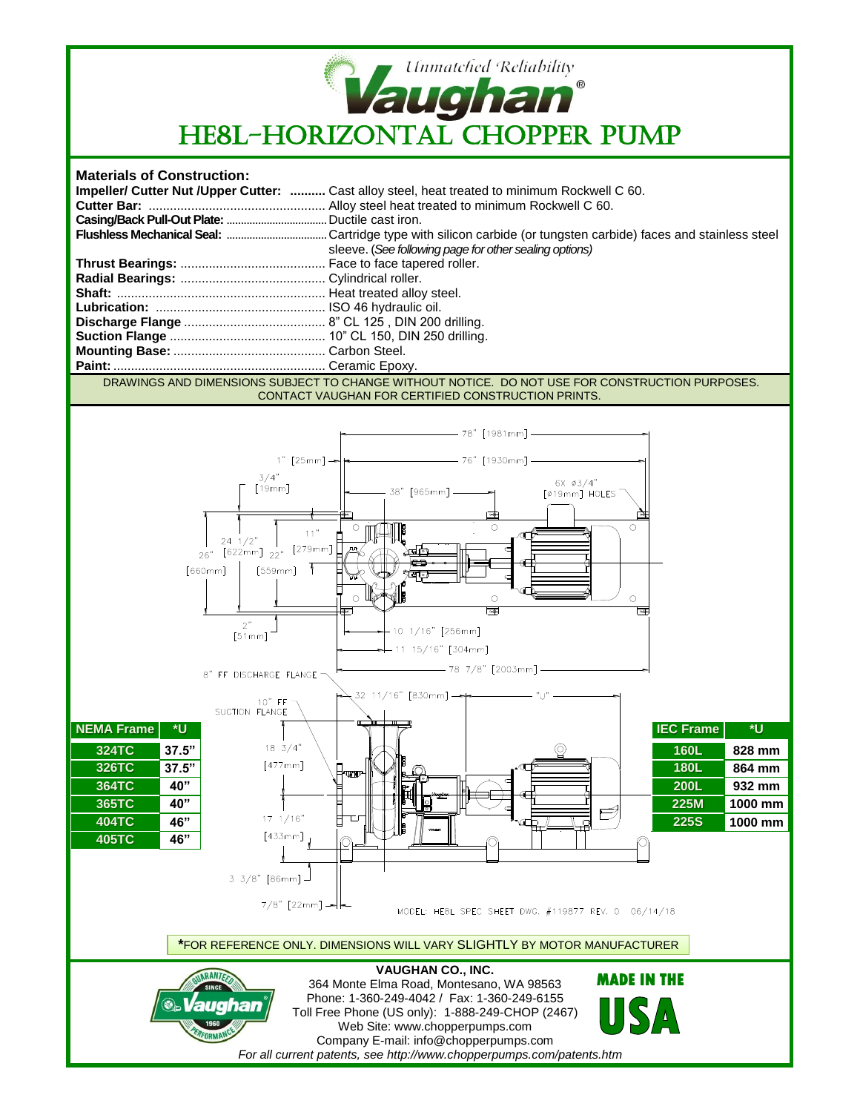

## **Materials of Construction:**

|  | <b>Impeller/ Cutter Nut /Upper Cutter: </b> Cast alloy steel, heat treated to minimum Rockwell C 60. |
|--|------------------------------------------------------------------------------------------------------|
|  |                                                                                                      |
|  |                                                                                                      |
|  |                                                                                                      |
|  | sleeve. (See following page for other sealing options)                                               |
|  |                                                                                                      |
|  |                                                                                                      |
|  |                                                                                                      |
|  |                                                                                                      |
|  |                                                                                                      |
|  |                                                                                                      |
|  |                                                                                                      |
|  |                                                                                                      |
|  |                                                                                                      |

DRAWINGS AND DIMENSIONS SUBJECT TO CHANGE WITHOUT NOTICE. DO NOT USE FOR CONSTRUCTION PURPOSES. CONTACT VAUGHAN FOR CERTIFIED CONSTRUCTION PRINTS.